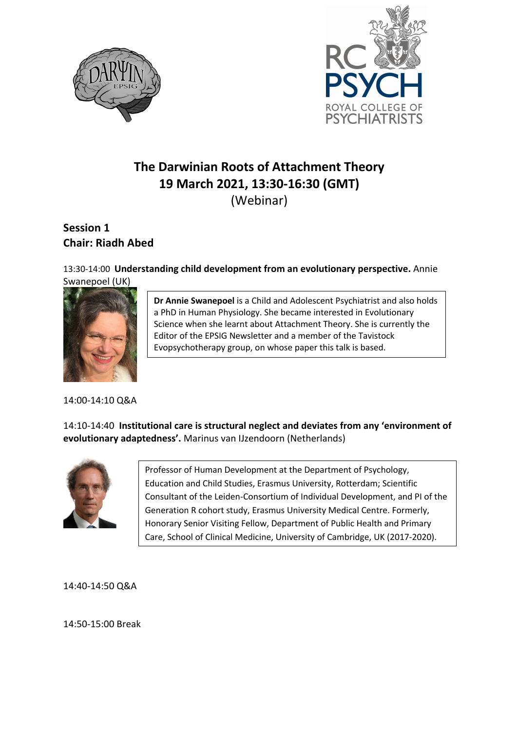



# **The Darwinian Roots of Attachment Theory 19 March 2021, 13:30-16:30 (GMT)** (Webinar)

## **Session 1 Chair: Riadh Abed**

#### 13:30-14:00 **Understanding child development from an evolutionary perspective.** Annie Swanepoel (UK)



**Dr Annie Swanepoel** is a Child and Adolescent Psychiatrist and also holds a PhD in Human Physiology. She became interested in Evolutionary Science when she learnt about Attachment Theory. She is currently the Editor of the EPSIG Newsletter and a member of the Tavistock Evopsychotherapy group, on whose paper this talk is based.

#### 14:00-14:10 Q&A

14:10-14:40 **Institutional care is structural neglect and deviates from any 'environment of evolutionary adaptedness'.** Marinus van IJzendoorn (Netherlands)



Professor of Human Development at the Department of Psychology, Education and Child Studies, Erasmus University, Rotterdam; Scientific Consultant of the Leiden-Consortium of Individual Development, and PI of the Generation R cohort study, Erasmus University Medical Centre. Formerly, Honorary Senior Visiting Fellow, Department of Public Health and Primary Care, School of Clinical Medicine, University of Cambridge, UK (2017-2020).

14:40-14:50 Q&A

14:50-15:00 Break